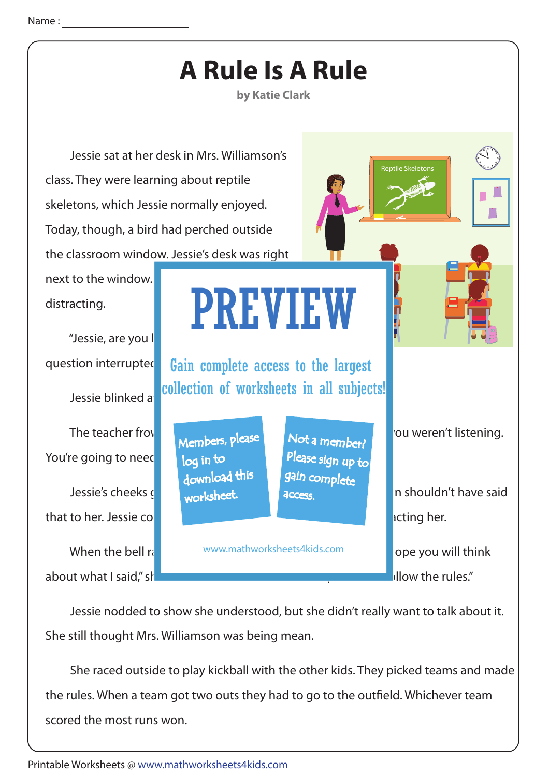

 Jessie nodded to show she understood, but she didn't really want to talk about it. She still thought Mrs. Williamson was being mean.

 She raced outside to play kickball with the other kids. They picked teams and made the rules. When a team got two outs they had to go to the outfield. Whichever team scored the most runs won.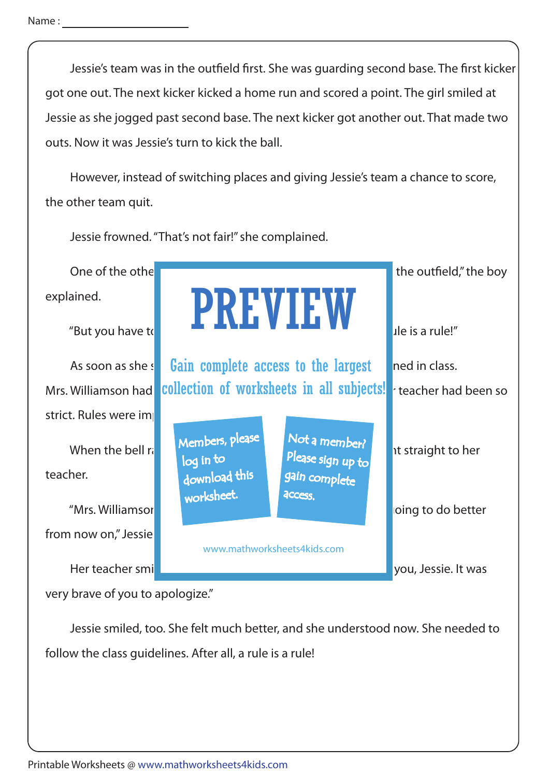Name:

Jessie's team was in the outfield first. She was quarding second base. The first kicker got one out. The next kicker kicked a home run and scored a point. The girl smiled at Jessie as she jogged past second base. The next kicker got another out. That made two outs. Now it was Jessie's turn to kick the ball.

 However, instead of switching places and giving Jessie's team a chance to score, the other team quit.

Jessie frowned. "That's not fair!" she complained.

explained.

strict. Rules were important

teacher.

from now on," Jessie



very brave of you to apologize."

 Jessie smiled, too. She felt much better, and she understood now. She needed to follow the class guidelines. After all, a rule is a rule!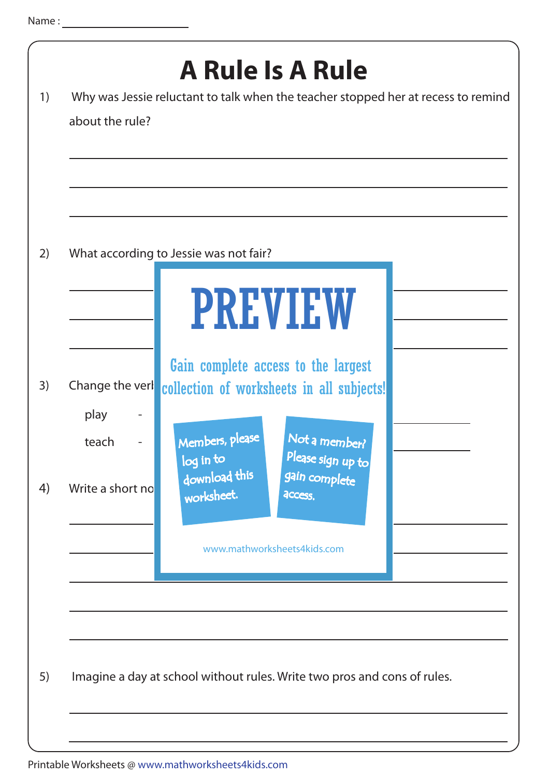| 1) | about the rule?                  | <b>A Rule Is A Rule</b><br>Why was Jessie reluctant to talk when the teacher stopped her at recess to remind                                           |
|----|----------------------------------|--------------------------------------------------------------------------------------------------------------------------------------------------------|
| 2) |                                  | What according to Jessie was not fair?<br><b>PREVIEW</b>                                                                                               |
| 3) | Change the verl<br>play<br>teach | Gain complete access to the largest<br>collection of worksheets in all subjects!<br>Members, please<br>Not a member?<br>Please sign up to<br>log in to |
| 4) | Write a short no                 | download this<br>gain complete<br>worksheet.<br><b>ACCESS.</b><br>www.mathworksheets4kids.com                                                          |
| 5) |                                  | Imagine a day at school without rules. Write two pros and cons of rules.                                                                               |